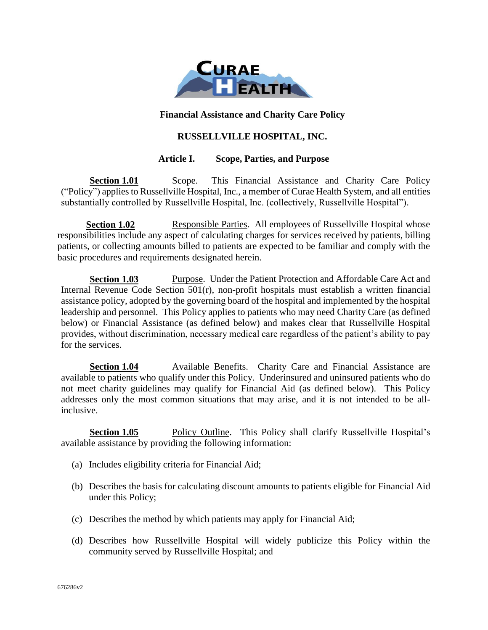

### **Financial Assistance and Charity Care Policy**

## **RUSSELLVILLE HOSPITAL, INC.**

### **Article I. Scope, Parties, and Purpose**

**Section 1.01** Scope. This Financial Assistance and Charity Care Policy ("Policy") applies to Russellville Hospital, Inc., a member of Curae Health System, and all entities substantially controlled by Russellville Hospital, Inc. (collectively, Russellville Hospital").

**Section 1.02** Responsible Parties. All employees of Russellville Hospital whose responsibilities include any aspect of calculating charges for services received by patients, billing patients, or collecting amounts billed to patients are expected to be familiar and comply with the basic procedures and requirements designated herein.

**Section 1.03** Purpose. Under the Patient Protection and Affordable Care Act and Internal Revenue Code Section 501(r), non-profit hospitals must establish a written financial assistance policy, adopted by the governing board of the hospital and implemented by the hospital leadership and personnel. This Policy applies to patients who may need Charity Care (as defined below) or Financial Assistance (as defined below) and makes clear that Russellville Hospital provides, without discrimination, necessary medical care regardless of the patient's ability to pay for the services.

**Section 1.04** Available Benefits. Charity Care and Financial Assistance are available to patients who qualify under this Policy. Underinsured and uninsured patients who do not meet charity guidelines may qualify for Financial Aid (as defined below). This Policy addresses only the most common situations that may arise, and it is not intended to be allinclusive.

**Section 1.05** Policy Outline. This Policy shall clarify Russellville Hospital's available assistance by providing the following information:

- (a) Includes eligibility criteria for Financial Aid;
- (b) Describes the basis for calculating discount amounts to patients eligible for Financial Aid under this Policy;
- (c) Describes the method by which patients may apply for Financial Aid;
- (d) Describes how Russellville Hospital will widely publicize this Policy within the community served by Russellville Hospital; and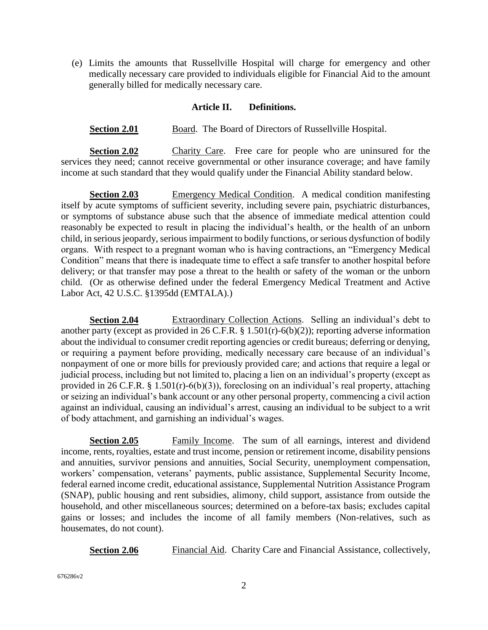(e) Limits the amounts that Russellville Hospital will charge for emergency and other medically necessary care provided to individuals eligible for Financial Aid to the amount generally billed for medically necessary care.

### **Article II. Definitions.**

**Section 2.01** Board. The Board of Directors of Russellville Hospital.

**Section 2.02** Charity Care. Free care for people who are uninsured for the services they need; cannot receive governmental or other insurance coverage; and have family income at such standard that they would qualify under the Financial Ability standard below.

**Section 2.03** Emergency Medical Condition. A medical condition manifesting itself by acute symptoms of sufficient severity, including severe pain, psychiatric disturbances, or symptoms of substance abuse such that the absence of immediate medical attention could reasonably be expected to result in placing the individual's health, or the health of an unborn child, in serious jeopardy, serious impairment to bodily functions, or serious dysfunction of bodily organs. With respect to a pregnant woman who is having contractions, an "Emergency Medical Condition" means that there is inadequate time to effect a safe transfer to another hospital before delivery; or that transfer may pose a threat to the health or safety of the woman or the unborn child. (Or as otherwise defined under the federal Emergency Medical Treatment and Active Labor Act, 42 U.S.C. §1395dd (EMTALA).)

**Section 2.04** Extraordinary Collection Actions. Selling an individual's debt to another party (except as provided in 26 C.F.R. § 1.501(r)-6(b)(2)); reporting adverse information about the individual to consumer credit reporting agencies or credit bureaus; deferring or denying, or requiring a payment before providing, medically necessary care because of an individual's nonpayment of one or more bills for previously provided care; and actions that require a legal or judicial process, including but not limited to, placing a lien on an individual's property (except as provided in 26 C.F.R. § 1.501(r)-6(b)(3)), foreclosing on an individual's real property, attaching or seizing an individual's bank account or any other personal property, commencing a civil action against an individual, causing an individual's arrest, causing an individual to be subject to a writ of body attachment, and garnishing an individual's wages.

**Section 2.05** Family Income. The sum of all earnings, interest and dividend income, rents, royalties, estate and trust income, pension or retirement income, disability pensions and annuities, survivor pensions and annuities, Social Security, unemployment compensation, workers' compensation, veterans' payments, public assistance, Supplemental Security Income, federal earned income credit, educational assistance, Supplemental Nutrition Assistance Program (SNAP), public housing and rent subsidies, alimony, child support, assistance from outside the household, and other miscellaneous sources; determined on a before-tax basis; excludes capital gains or losses; and includes the income of all family members (Non-relatives, such as housemates, do not count).

**Section 2.06** Financial Aid. Charity Care and Financial Assistance, collectively,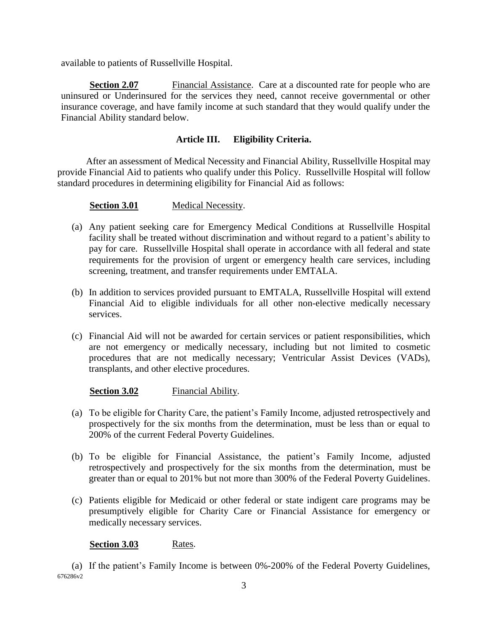available to patients of Russellville Hospital.

**Section 2.07** Financial Assistance. Care at a discounted rate for people who are uninsured or Underinsured for the services they need, cannot receive governmental or other insurance coverage, and have family income at such standard that they would qualify under the Financial Ability standard below.

## **Article III. Eligibility Criteria.**

After an assessment of Medical Necessity and Financial Ability, Russellville Hospital may provide Financial Aid to patients who qualify under this Policy. Russellville Hospital will follow standard procedures in determining eligibility for Financial Aid as follows:

**Section 3.01** Medical Necessity.

- (a) Any patient seeking care for Emergency Medical Conditions at Russellville Hospital facility shall be treated without discrimination and without regard to a patient's ability to pay for care. Russellville Hospital shall operate in accordance with all federal and state requirements for the provision of urgent or emergency health care services, including screening, treatment, and transfer requirements under EMTALA.
- (b) In addition to services provided pursuant to EMTALA, Russellville Hospital will extend Financial Aid to eligible individuals for all other non-elective medically necessary services.
- (c) Financial Aid will not be awarded for certain services or patient responsibilities, which are not emergency or medically necessary, including but not limited to cosmetic procedures that are not medically necessary; Ventricular Assist Devices (VADs), transplants, and other elective procedures.

**Section 3.02** Financial Ability.

- (a) To be eligible for Charity Care, the patient's Family Income, adjusted retrospectively and prospectively for the six months from the determination, must be less than or equal to 200% of the current Federal Poverty Guidelines.
- (b) To be eligible for Financial Assistance, the patient's Family Income, adjusted retrospectively and prospectively for the six months from the determination, must be greater than or equal to 201% but not more than 300% of the Federal Poverty Guidelines.
- (c) Patients eligible for Medicaid or other federal or state indigent care programs may be presumptively eligible for Charity Care or Financial Assistance for emergency or medically necessary services.

**Section 3.03** Rates.

676286v2 (a) If the patient's Family Income is between 0%-200% of the Federal Poverty Guidelines,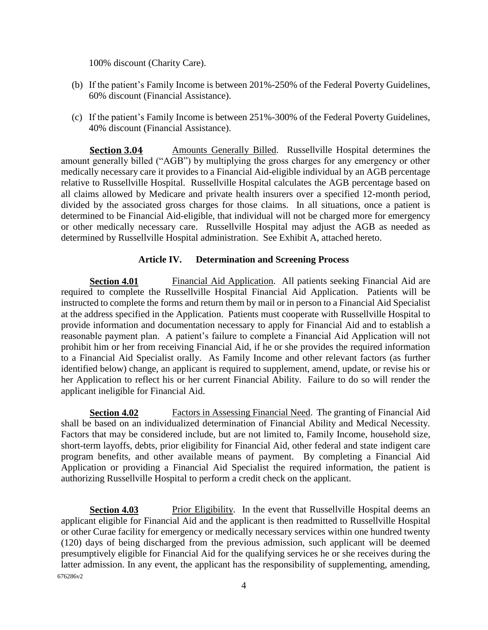100% discount (Charity Care).

- (b) If the patient's Family Income is between 201%-250% of the Federal Poverty Guidelines, 60% discount (Financial Assistance).
- (c) If the patient's Family Income is between 251%-300% of the Federal Poverty Guidelines, 40% discount (Financial Assistance).

**Section 3.04** Amounts Generally Billed. Russellville Hospital determines the amount generally billed ("AGB") by multiplying the gross charges for any emergency or other medically necessary care it provides to a Financial Aid-eligible individual by an AGB percentage relative to Russellville Hospital. Russellville Hospital calculates the AGB percentage based on all claims allowed by Medicare and private health insurers over a specified 12-month period, divided by the associated gross charges for those claims. In all situations, once a patient is determined to be Financial Aid-eligible, that individual will not be charged more for emergency or other medically necessary care. Russellville Hospital may adjust the AGB as needed as determined by Russellville Hospital administration. See Exhibit A, attached hereto.

## **Article IV. Determination and Screening Process**

**Section 4.01** Financial Aid Application. All patients seeking Financial Aid are required to complete the Russellville Hospital Financial Aid Application. Patients will be instructed to complete the forms and return them by mail or in person to a Financial Aid Specialist at the address specified in the Application. Patients must cooperate with Russellville Hospital to provide information and documentation necessary to apply for Financial Aid and to establish a reasonable payment plan. A patient's failure to complete a Financial Aid Application will not prohibit him or her from receiving Financial Aid, if he or she provides the required information to a Financial Aid Specialist orally. As Family Income and other relevant factors (as further identified below) change, an applicant is required to supplement, amend, update, or revise his or her Application to reflect his or her current Financial Ability. Failure to do so will render the applicant ineligible for Financial Aid.

**Section 4.02** Factors in Assessing Financial Need. The granting of Financial Aid shall be based on an individualized determination of Financial Ability and Medical Necessity. Factors that may be considered include, but are not limited to, Family Income, household size, short-term layoffs, debts, prior eligibility for Financial Aid, other federal and state indigent care program benefits, and other available means of payment. By completing a Financial Aid Application or providing a Financial Aid Specialist the required information, the patient is authorizing Russellville Hospital to perform a credit check on the applicant.

676286v2 **Section 4.03** Prior Eligibility. In the event that Russellville Hospital deems an applicant eligible for Financial Aid and the applicant is then readmitted to Russellville Hospital or other Curae facility for emergency or medically necessary services within one hundred twenty (120) days of being discharged from the previous admission, such applicant will be deemed presumptively eligible for Financial Aid for the qualifying services he or she receives during the latter admission. In any event, the applicant has the responsibility of supplementing, amending,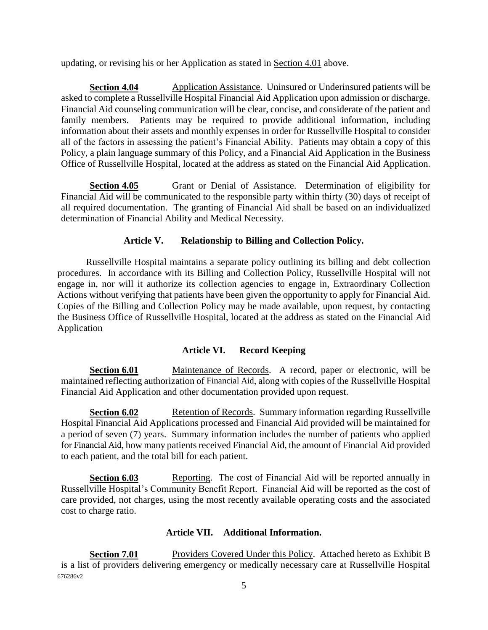updating, or revising his or her Application as stated in **Section 4.01** above.

**Section 4.04** Application Assistance. Uninsured or Underinsured patients will be asked to complete a Russellville Hospital Financial Aid Application upon admission or discharge. Financial Aid counseling communication will be clear, concise, and considerate of the patient and family members. Patients may be required to provide additional information, including information about their assets and monthly expenses in order for Russellville Hospital to consider all of the factors in assessing the patient's Financial Ability. Patients may obtain a copy of this Policy, a plain language summary of this Policy, and a Financial Aid Application in the Business Office of Russellville Hospital, located at the address as stated on the Financial Aid Application.

**Section 4.05** Grant or Denial of Assistance. Determination of eligibility for Financial Aid will be communicated to the responsible party within thirty (30) days of receipt of all required documentation. The granting of Financial Aid shall be based on an individualized determination of Financial Ability and Medical Necessity.

## **Article V. Relationship to Billing and Collection Policy.**

Russellville Hospital maintains a separate policy outlining its billing and debt collection procedures. In accordance with its Billing and Collection Policy, Russellville Hospital will not engage in, nor will it authorize its collection agencies to engage in, Extraordinary Collection Actions without verifying that patients have been given the opportunity to apply for Financial Aid. Copies of the Billing and Collection Policy may be made available, upon request, by contacting the Business Office of Russellville Hospital, located at the address as stated on the Financial Aid Application

## **Article VI. Record Keeping**

**Section 6.01** Maintenance of Records. A record, paper or electronic, will be maintained reflecting authorization of Financial Aid, along with copies of the Russellville Hospital Financial Aid Application and other documentation provided upon request.

**Section 6.02** Retention of Records. Summary information regarding Russellville Hospital Financial Aid Applications processed and Financial Aid provided will be maintained for a period of seven (7) years. Summary information includes the number of patients who applied for Financial Aid, how many patients received Financial Aid, the amount of Financial Aid provided to each patient, and the total bill for each patient.

**Section 6.03** Reporting. The cost of Financial Aid will be reported annually in Russellville Hospital's Community Benefit Report. Financial Aid will be reported as the cost of care provided, not charges, using the most recently available operating costs and the associated cost to charge ratio.

## **Article VII. Additional Information.**

676286v2 **Section 7.01** Providers Covered Under this Policy. Attached hereto as Exhibit B is a list of providers delivering emergency or medically necessary care at Russellville Hospital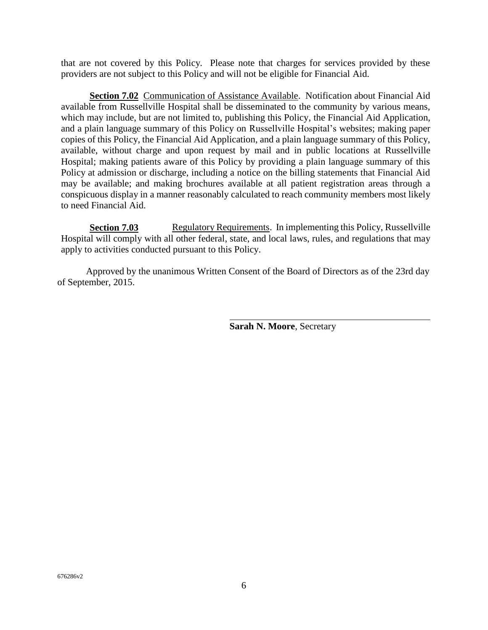that are not covered by this Policy. Please note that charges for services provided by these providers are not subject to this Policy and will not be eligible for Financial Aid.

**Section 7.02** Communication of Assistance Available. Notification about Financial Aid available from Russellville Hospital shall be disseminated to the community by various means, which may include, but are not limited to, publishing this Policy, the Financial Aid Application, and a plain language summary of this Policy on Russellville Hospital's websites; making paper copies of this Policy, the Financial Aid Application, and a plain language summary of this Policy, available, without charge and upon request by mail and in public locations at Russellville Hospital; making patients aware of this Policy by providing a plain language summary of this Policy at admission or discharge, including a notice on the billing statements that Financial Aid may be available; and making brochures available at all patient registration areas through a conspicuous display in a manner reasonably calculated to reach community members most likely to need Financial Aid.

**Section 7.03** Regulatory Requirements. In implementing this Policy, Russellville Hospital will comply with all other federal, state, and local laws, rules, and regulations that may apply to activities conducted pursuant to this Policy.

Approved by the unanimous Written Consent of the Board of Directors as of the 23rd day of September, 2015.

**Sarah N. Moore**, Secretary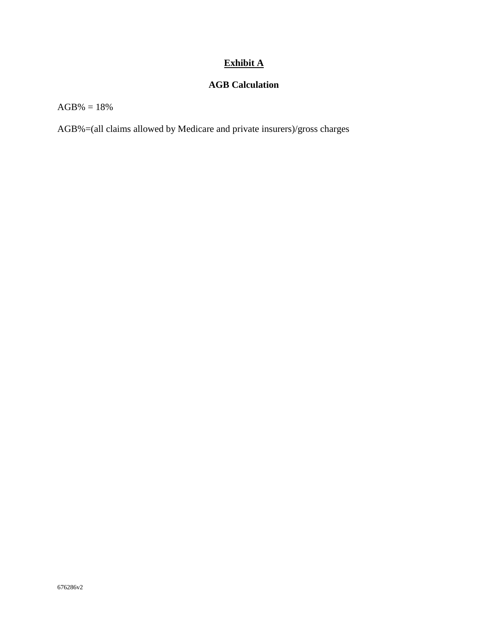# **Exhibit A**

# **AGB Calculation**

 $AGB% = 18%$ 

AGB%=(all claims allowed by Medicare and private insurers)/gross charges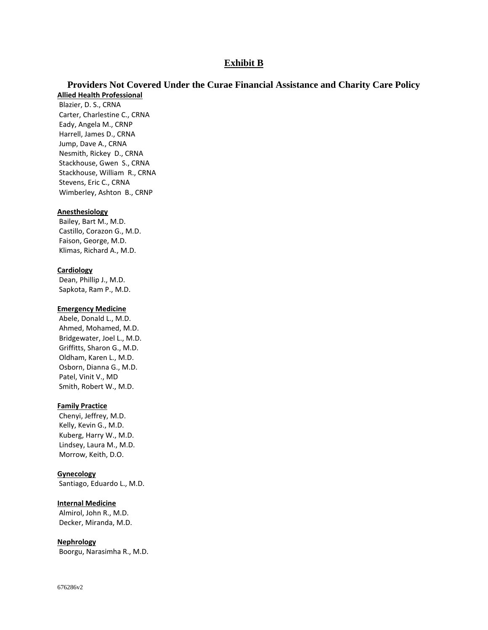### **Exhibit B**

### **Providers Not Covered Under the Curae Financial Assistance and Charity Care Policy Allied Health Professional**

Blazier, D. S., CRNA Carter, Charlestine C., CRNA Eady, Angela M., CRNP Harrell, James D., CRNA Jump, Dave A., CRNA Nesmith, Rickey D., CRNA Stackhouse, Gwen S., CRNA Stackhouse, William R., CRNA Stevens, Eric C., CRNA Wimberley, Ashton B., CRNP

#### **Anesthesiology**

Bailey, Bart M., M.D. Castillo, Corazon G., M.D. Faison, George, M.D. Klimas, Richard A., M.D.

#### **Cardiology**

Dean, Phillip J., M.D. Sapkota, Ram P., M.D.

#### **Emergency Medicine**

Abele, Donald L., M.D. Ahmed, Mohamed, M.D. Bridgewater, Joel L., M.D. Griffitts, Sharon G., M.D. Oldham, Karen L., M.D. Osborn, Dianna G., M.D. Patel, Vinit V., MD Smith, Robert W., M.D.

#### **Family Practice**

Chenyi, Jeffrey, M.D. Kelly, Kevin G., M.D. Kuberg, Harry W., M.D. Lindsey, Laura M., M.D. Morrow, Keith, D.O.

#### **Gynecology**

Santiago, Eduardo L., M.D.

#### **Internal Medicine**

Almirol, John R., M.D. Decker, Miranda, M.D.

#### **Nephrology**

Boorgu, Narasimha R., M.D.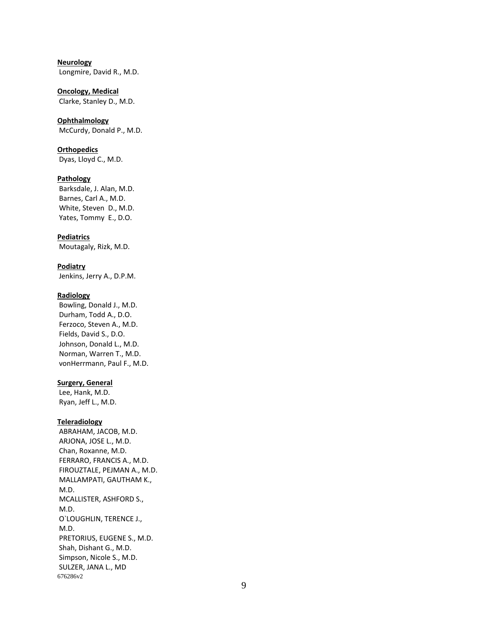**Neurology** Longmire, David R., M.D.

**Oncology, Medical** Clarke, Stanley D., M.D.

**Ophthalmology** McCurdy, Donald P., M.D.

**Orthopedics** Dyas, Lloyd C., M.D.

#### **Pathology**

Barksdale, J. Alan, M.D. Barnes, Carl A., M.D. White, Steven D., M.D. Yates, Tommy E., D.O.

**Pediatrics**

Moutagaly, Rizk, M.D.

**Podiatry**

Jenkins, Jerry A., D.P.M.

#### **Radiology**

Bowling, Donald J., M.D. Durham, Todd A., D.O. Ferzoco, Steven A., M.D. Fields, David S., D.O. Johnson, Donald L., M.D. Norman, Warren T., M.D. vonHerrmann, Paul F., M.D.

#### **Surgery, General**

Lee, Hank, M.D. Ryan, Jeff L., M.D.

#### **Teleradiology**

676286v2 ABRAHAM, JACOB, M.D. ARJONA, JOSE L., M.D. Chan, Roxanne, M.D. FERRARO, FRANCIS A., M.D. FIROUZTALE, PEJMAN A., M.D. MALLAMPATI, GAUTHAM K., M.D. MCALLISTER, ASHFORD S., M.D. O`LOUGHLIN, TERENCE J., M.D. PRETORIUS, EUGENE S., M.D. Shah, Dishant G., M.D. Simpson, Nicole S., M.D. SULZER, JANA L., MD